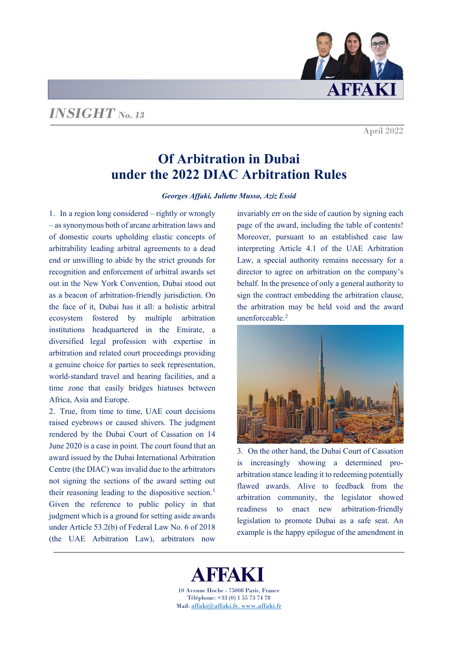

April 2022

# **Of Arbitration in Dubai under the 2022 DIAC Arbitration Rules**

*Georges Affaki, Juliette Musso, Aziz Essid*

1. In a region long considered – rightly or wrongly – as synonymous both of arcane arbitration laws and of domestic courts upholding elastic concepts of arbitrability leading arbitral agreements to a dead end or unwilling to abide by the strict grounds for recognition and enforcement of arbitral awards set out in the New York Convention, Dubai stood out as a beacon of arbitration-friendly jurisdiction. On the face of it, Dubai has it all: a holistic arbitral ecosystem fostered by multiple arbitration institutions headquartered in the Emirate, a diversified legal profession with expertise in arbitration and related court proceedings providing a genuine choice for parties to seek representation, world-standard travel and hearing facilities, and a time zone that easily bridges hiatuses between Africa, Asia and Europe.

2. True, from time to time, UAE court decisions raised eyebrows or caused shivers. The judgment rendered by the Dubai Court of Cassation on 14 June 2020 is a case in point. The court found that an award issued by the Dubai International Arbitration Centre (the DIAC) was invalid due to the arbitrators not signing the sections of the award setting out their reasoning leading to the dispositive section. [1](#page-9-0) Given the reference to public policy in that judgment which is a ground for setting aside awards under Article 53.2(b) of Federal Law No. 6 of 2018 (the UAE Arbitration Law), arbitrators now

invariably err on the side of caution by signing each page of the award, including the table of contents! Moreover, pursuant to an established case law interpreting Article 4.1 of the UAE Arbitration Law, a special authority remains necessary for a director to agree on arbitration on the company's behalf. In the presence of only a general authority to sign the contract embedding the arbitration clause, the arbitration may be held void and the award unenforceable.[2](#page-9-1)



3. On the other hand, the Dubai Court of Cassation is increasingly showing a determined proarbitration stance leading it to redeeming potentially flawed awards. Alive to feedback from the arbitration community, the legislator showed readiness to enact new arbitration-friendly legislation to promote Dubai as a safe seat. An example is the happy epilogue of the amendment in

FFAKT 10 Avenue Hoche - 75008 Paris, France Téléphone: +33 (0) 1 55 73 74 78 Mail[: affaki@affaki.fr,](mailto:affaki@affaki.fr) [www.affaki.fr](http://www.affaki.fr/)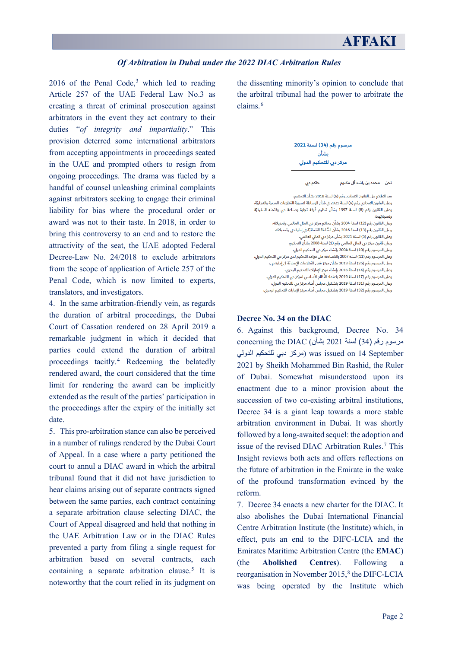$2016$  of the Penal Code,<sup>[3](#page-9-2)</sup> which led to reading Article 257 of the UAE Federal Law No.3 as creating a threat of criminal prosecution against arbitrators in the event they act contrary to their duties "*of integrity and impartiality*." This provision deterred some international arbitrators from accepting appointments in proceedings seated in the UAE and prompted others to resign from ongoing proceedings. The drama was fueled by a handful of counsel unleashing criminal complaints against arbitrators seeking to engage their criminal liability for bias where the procedural order or award was not to their taste. In 2018, in order to bring this controversy to an end and to restore the attractivity of the seat, the UAE adopted Federal Decree-Law No. 24/2018 to exclude arbitrators from the scope of application of Article 257 of the Penal Code, which is now limited to experts, translators, and investigators.

4. In the same arbitration-friendly vein, as regards the duration of arbitral proceedings, the Dubai Court of Cassation rendered on 28 April 2019 a remarkable judgment in which it decided that parties could extend the duration of arbitral proceedings tacitly. [4](#page-9-3) Redeeming the belatedly rendered award, the court considered that the time limit for rendering the award can be implicitly extended as the result of the parties' participation in the proceedings after the expiry of the initially set date.

5. This pro-arbitration stance can also be perceived in a number of rulings rendered by the Dubai Court of Appeal. In a case where a party petitioned the court to annul a DIAC award in which the arbitral tribunal found that it did not have jurisdiction to hear claims arising out of separate contracts signed between the same parties, each contract containing a separate arbitration clause selecting DIAC, the Court of Appeal disagreed and held that nothing in the UAE Arbitration Law or in the DIAC Rules prevented a party from filing a single request for arbitration based on several contracts, each containing a separate arbitration clause.<sup>[5](#page-9-4)</sup> It is noteworthy that the court relied in its judgment on the dissenting minority's opinion to conclude that the arbitral tribunal had the power to arbitrate the claims.[6](#page-9-5)



بعد الاطلاع على القانون الاتحادي رقم (6) لسنة 2018 بشأن التحكيم، وعلى القانون الاتحادي رقم (6) لسنة 2021 في شأن الوساطة لتسوية المُنازعات المدنيّة والتجاريّة، .<br>وعلى القانون رقم (8) لسنة 1997 بشأن تنظيم غُرفة تجارة وصناعة دبي ولائحته التنفيذيّة وتعديلاتهما،

۔<br>وعلى القانون رقم (12) لسنة 2004 بشأن محاكم مركز دبي المالي العالمي وتعديلاته، .<br>وعلى قانون مركز دبي المالي العالمي رقم (1) لسنة 2008 بشأن التحكيم، وعلى المرسوم رقم (10) لسنة 2004 بإنشاء مركز دبي للتحكيم الدولي، وعلى المرسوم رقم (11) لسنة 2007 بالمُصادقة على قواعد التحكيم لدى مركز دبي للتحكيم الدولي، وعلى المرسوم رقم (26) لسنة 2013 بشأن مركز فض المُنازعات الإيجاريّة في إمارة دبي، .<br>وعلى المرسوم رقم (14) لسنة 2016 بإنشاء مركز الإمارات للتحكيم البحري، .<br>وعلى المرسوم رقم (17) لسنة 2019 باعتماد النِّظام الأساسي لمركز دبي للتحكيم الدولي، 

.<br>وعلى المرسوم رقم (32) لسنة 2019 بتشكيل مجلس أمناء مركز الإمارات للتحكيم البحري،

### **Decree No. 34 on the DIAC**

6. Against this background, Decree No. 34  $\alpha$  concerning the DIAC (بشأن ) مرسوم رقم (34) September 14 on issued was) مركز دبي للتحكیم الدولي 2021 by Sheikh Mohammed Bin Rashid, the Ruler of Dubai. Somewhat misunderstood upon its enactment due to a minor provision about the succession of two co-existing arbitral institutions, Decree 34 is a giant leap towards a more stable arbitration environment in Dubai. It was shortly followed by a long-awaited sequel: the adoption and issue of the revised DIAC Arbitration Rules.<sup>7</sup> This Insight reviews both acts and offers reflections on the future of arbitration in the Emirate in the wake of the profound transformation evinced by the reform.

7. Decree 34 enacts a new charter for the DIAC. It also abolishes the Dubai International Financial Centre Arbitration Institute (the Institute) which, in effect, puts an end to the DIFC-LCIA and the Emirates Maritime Arbitration Centre (the **EMAC**) (the **Abolished Centres**). Following a reorganisation in November  $2015<sup>8</sup>$  $2015<sup>8</sup>$  $2015<sup>8</sup>$ , the DIFC-LCIA was being operated by the Institute which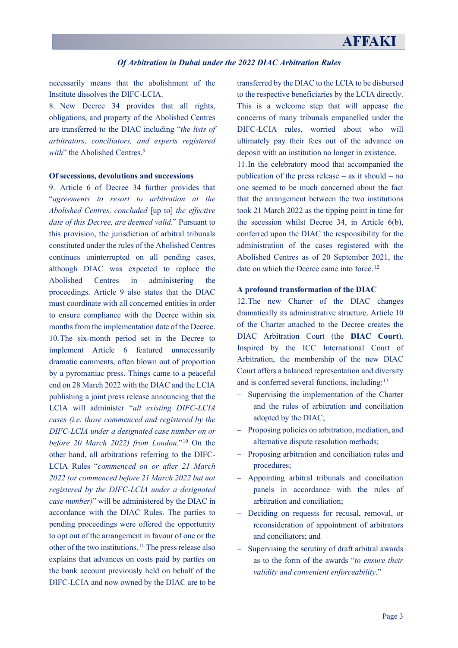necessarily means that the abolishment of the Institute dissolves the DIFC-LCIA.

8. New Decree 34 provides that all rights, obligations, and property of the Abolished Centres are transferred to the DIAC including "*the lists of arbitrators, conciliators, and experts registered*  with" the Abolished Centres.<sup>[9](#page-9-7)</sup>

# **Of secessions, devolutions and successions**

9. Article 6 of Decree 34 further provides that "*agreements to resort to arbitration at the Abolished Centres, concluded* [up to] *the effective date of this Decree, are deemed valid*." Pursuant to this provision, the jurisdiction of arbitral tribunals constituted under the rules of the Abolished Centres continues uninterrupted on all pending cases, although DIAC was expected to replace the Abolished Centres in administering the proceedings. Article 9 also states that the DIAC must coordinate with all concerned entities in order to ensure compliance with the Decree within six months from the implementation date of the Decree. 10.The six-month period set in the Decree to implement Article 6 featured unnecessarily dramatic comments, often blown out of proportion by a pyromaniac press. Things came to a peaceful end on 28 March 2022 with the DIAC and the LCIA publishing a joint press release announcing that the LCIA will administer "*all existing DIFC-LCIA cases (i.e. those commenced and registered by the DIFC-LCIA under a designated case number on or before 20 March 2022) from London.*"[10](#page-9-8) On the other hand, all arbitrations referring to the DIFC-LCIA Rules "*commenced on or after 21 March 2022 (or commenced before 21 March 2022 but not registered by the DIFC-LCIA under a designated case number)*" will be administered by the DIAC in accordance with the DIAC Rules. The parties to pending proceedings were offered the opportunity to opt out of the arrangement in favour of one or the other of the two institutions. [11](#page-9-9) The press release also explains that advances on costs paid by parties on the bank account previously held on behalf of the DIFC-LCIA and now owned by the DIAC are to be

transferred by the DIAC to the LCIA to be disbursed to the respective beneficiaries by the LCIA directly. This is a welcome step that will appease the concerns of many tribunals empanelled under the DIFC-LCIA rules, worried about who will ultimately pay their fees out of the advance on deposit with an institution no longer in existence.

11.In the celebratory mood that accompanied the publication of the press release – as it should – no one seemed to be much concerned about the fact that the arrangement between the two institutions took 21 March 2022 as the tipping point in time for the secession whilst Decree 34, in Article 6(b), conferred upon the DIAC the responsibility for the administration of the cases registered with the Abolished Centres as of 20 September 2021, the date on which the Decree came into force. [12](#page-9-10)

# **A profound transformation of the DIAC**

12.The new Charter of the DIAC changes dramatically its administrative structure. Article 10 of the Charter attached to the Decree creates the DIAC Arbitration Court (the **DIAC Court**). Inspired by the ICC International Court of Arbitration, the membership of the new DIAC Court offers a balanced representation and diversity and is conferred several functions, including:<sup>[13](#page-9-11)</sup>

- − Supervising the implementation of the Charter and the rules of arbitration and conciliation adopted by the DIAC;
- − Proposing policies on arbitration, mediation, and alternative dispute resolution methods;
- − Proposing arbitration and conciliation rules and procedures;
- − Appointing arbitral tribunals and conciliation panels in accordance with the rules of arbitration and conciliation;
- − Deciding on requests for recusal, removal, or reconsideration of appointment of arbitrators and conciliators; and
- − Supervising the scrutiny of draft arbitral awards as to the form of the awards "*to ensure their validity and convenient enforceability*."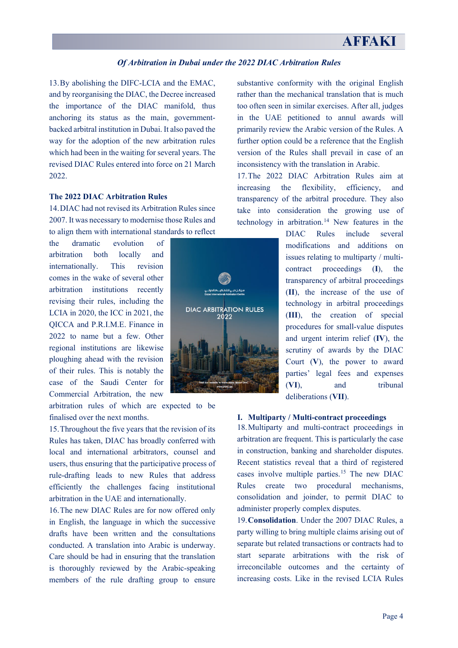# **AFFAKI**

#### *Of Arbitration in Dubai under the 2022 DIAC Arbitration Rules*

13.By abolishing the DIFC-LCIA and the EMAC, and by reorganising the DIAC, the Decree increased the importance of the DIAC manifold, thus anchoring its status as the main, governmentbacked arbitral institution in Dubai. It also paved the way for the adoption of the new arbitration rules which had been in the waiting for several years. The revised DIAC Rules entered into force on 21 March 2022

#### **The 2022 DIAC Arbitration Rules**

14.DIAC had not revised its Arbitration Rules since 2007. It was necessary to modernise those Rules and to align them with international standards to reflect

the dramatic evolution of arbitration both locally and internationally. This revision comes in the wake of several other arbitration institutions recently revising their rules, including the LCIA in 2020, the ICC in 2021, the QICCA and P.R.I.M.E. Finance in 2022 to name but a few. Other regional institutions are likewise ploughing ahead with the revision of their rules. This is notably the case of the Saudi Center for Commercial Arbitration, the new

arbitration rules of which are expected to be finalised over the next months.

15.Throughout the five years that the revision of its Rules has taken, DIAC has broadly conferred with local and international arbitrators, counsel and users, thus ensuring that the participative process of rule-drafting leads to new Rules that address efficiently the challenges facing institutional arbitration in the UAE and internationally.

16.The new DIAC Rules are for now offered only in English, the language in which the successive drafts have been written and the consultations conducted. A translation into Arabic is underway. Care should be had in ensuring that the translation is thoroughly reviewed by the Arabic-speaking members of the rule drafting group to ensure

**DIAC ARBITRATION RULES** 2022

substantive conformity with the original English rather than the mechanical translation that is much too often seen in similar exercises. After all, judges in the UAE petitioned to annul awards will primarily review the Arabic version of the Rules. A further option could be a reference that the English version of the Rules shall prevail in case of an inconsistency with the translation in Arabic.

17.The 2022 DIAC Arbitration Rules aim at increasing the flexibility, efficiency, and transparency of the arbitral procedure. They also take into consideration the growing use of technology in arbitration.<sup>[14](#page-9-12)</sup> New features in the

> DIAC Rules include several modifications and additions on issues relating to multiparty / multicontract proceedings (**I**), the transparency of arbitral proceedings (**II**), the increase of the use of technology in arbitral proceedings (**III**), the creation of special procedures for small-value disputes and urgent interim relief (**IV**), the scrutiny of awards by the DIAC Court (**V**), the power to award parties' legal fees and expenses (**VI**), and tribunal deliberations (**VII**).

# **I. Multiparty / Multi-contract proceedings**

18.Multiparty and multi-contract proceedings in arbitration are frequent. This is particularly the case in construction, banking and shareholder disputes. Recent statistics reveal that a third of registered cases involve multiple parties.[15](#page-10-0) The new DIAC Rules create two procedural mechanisms, consolidation and joinder, to permit DIAC to administer properly complex disputes.

19.**Consolidation**. Under the 2007 DIAC Rules, a party willing to bring multiple claims arising out of separate but related transactions or contracts had to start separate arbitrations with the risk of irreconcilable outcomes and the certainty of increasing costs. Like in the revised LCIA Rules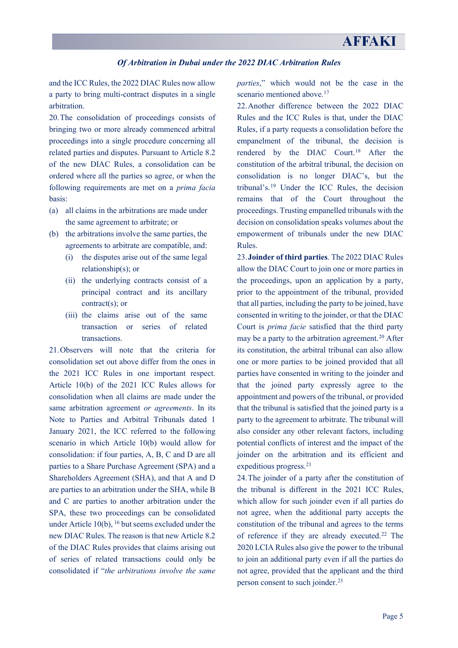and the ICC Rules, the 2022 DIAC Rules now allow a party to bring multi-contract disputes in a single arbitration.

20.The consolidation of proceedings consists of bringing two or more already commenced arbitral proceedings into a single procedure concerning all related parties and disputes. Pursuant to Article 8.2 of the new DIAC Rules, a consolidation can be ordered where all the parties so agree, or when the following requirements are met on a *prima facia*  basis:

- (a) all claims in the arbitrations are made under the same agreement to arbitrate; or
- (b) the arbitrations involve the same parties, the agreements to arbitrate are compatible, and:
	- (i) the disputes arise out of the same legal relationship(s); or
	- (ii) the underlying contracts consist of a principal contract and its ancillary contract(s); or
	- (iii) the claims arise out of the same transaction or series of related transactions.

21.Observers will note that the criteria for consolidation set out above differ from the ones in the 2021 ICC Rules in one important respect. Article 10(b) of the 2021 ICC Rules allows for consolidation when all claims are made under the same arbitration agreement *or agreements*. In its Note to Parties and Arbitral Tribunals dated 1 January 2021, the ICC referred to the following scenario in which Article 10(b) would allow for consolidation: if four parties, A, B, C and D are all parties to a Share Purchase Agreement (SPA) and a Shareholders Agreement (SHA), and that A and D are parties to an arbitration under the SHA, while B and C are parties to another arbitration under the SPA, these two proceedings can be consolidated under Article  $10(b)$ ,  $^{16}$  $^{16}$  $^{16}$  but seems excluded under the new DIAC Rules. The reason is that new Article 8.2 of the DIAC Rules provides that claims arising out of series of related transactions could only be consolidated if "*the arbitrations involve the same* 

*parties*," which would not be the case in the scenario mentioned above.<sup>[17](#page-10-2)</sup>

22.Another difference between the 2022 DIAC Rules and the ICC Rules is that, under the DIAC Rules, if a party requests a consolidation before the empanelment of the tribunal, the decision is rendered by the DIAC Court.[18](#page-10-3) After the constitution of the arbitral tribunal, the decision on consolidation is no longer DIAC's, but the tribunal's.[19](#page-10-4) Under the ICC Rules, the decision remains that of the Court throughout the proceedings. Trusting empanelled tribunals with the decision on consolidation speaks volumes about the empowerment of tribunals under the new DIAC Rules.

23.**Joinder of third parties**. The 2022 DIAC Rules allow the DIAC Court to join one or more parties in the proceedings, upon an application by a party, prior to the appointment of the tribunal, provided that all parties, including the party to be joined, have consented in writing to the joinder, or that the DIAC Court is *prima facie* satisfied that the third party may be a party to the arbitration agreement. [20](#page-10-5) After its constitution, the arbitral tribunal can also allow one or more parties to be joined provided that all parties have consented in writing to the joinder and that the joined party expressly agree to the appointment and powers of the tribunal, or provided that the tribunal is satisfied that the joined party is a party to the agreement to arbitrate. The tribunal will also consider any other relevant factors, including potential conflicts of interest and the impact of the joinder on the arbitration and its efficient and expeditious progress.[21](#page-10-6)

24.The joinder of a party after the constitution of the tribunal is different in the 2021 ICC Rules, which allow for such joinder even if all parties do not agree, when the additional party accepts the constitution of the tribunal and agrees to the terms of reference if they are already executed.[22](#page-10-7) The 2020 LCIA Rules also give the power to the tribunal to join an additional party even if all the parties do not agree, provided that the applicant and the third person consent to such joinder.<sup>[23](#page-10-8)</sup>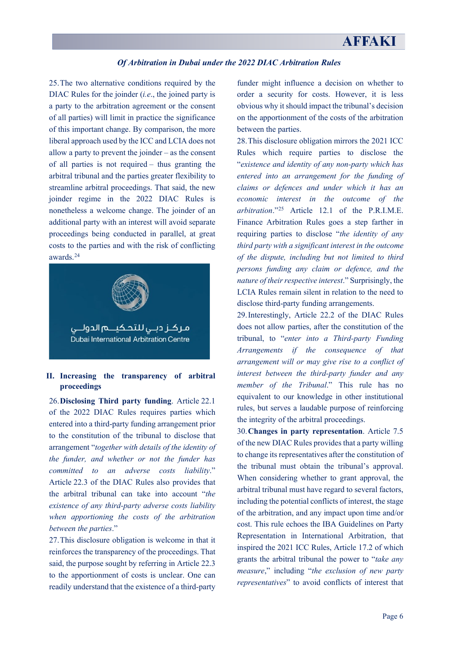25.The two alternative conditions required by the DIAC Rules for the joinder (*i.e*., the joined party is a party to the arbitration agreement or the consent of all parties) will limit in practice the significance of this important change. By comparison, the more liberal approach used by the ICC and LCIA does not allow a party to prevent the joinder – as the consent of all parties is not required – thus granting the arbitral tribunal and the parties greater flexibility to streamline arbitral proceedings. That said, the new joinder regime in the 2022 DIAC Rules is nonetheless a welcome change. The joinder of an additional party with an interest will avoid separate proceedings being conducted in parallel, at great costs to the parties and with the risk of conflicting awards. [24](#page-10-9)



# **II. Increasing the transparency of arbitral proceedings**

26.**Disclosing Third party funding**. Article 22.1 of the 2022 DIAC Rules requires parties which entered into a third-party funding arrangement prior to the constitution of the tribunal to disclose that arrangement "*together with details of the identity of the funder, and whether or not the funder has committed to an adverse costs liability*." Article 22.3 of the DIAC Rules also provides that the arbitral tribunal can take into account "*the existence of any third-party adverse costs liability when apportioning the costs of the arbitration between the parties*."

27.This disclosure obligation is welcome in that it reinforces the transparency of the proceedings. That said, the purpose sought by referring in Article 22.3 to the apportionment of costs is unclear. One can readily understand that the existence of a third-party funder might influence a decision on whether to order a security for costs. However, it is less obvious why it should impact the tribunal's decision on the apportionment of the costs of the arbitration between the parties.

28.This disclosure obligation mirrors the 2021 ICC Rules which require parties to disclose the "*existence and identity of any non-party which has entered into an arrangement for the funding of claims or defences and under which it has an economic interest in the outcome of the arbitration*."[25](#page-10-10) Article 12.1 of the P.R.I.M.E. Finance Arbitration Rules goes a step farther in requiring parties to disclose "*the identity of any third party with a significant interest in the outcome of the dispute, including but not limited to third persons funding any claim or defence, and the nature of their respective interest*." Surprisingly, the LCIA Rules remain silent in relation to the need to disclose third-party funding arrangements.

29.Interestingly, Article 22.2 of the DIAC Rules does not allow parties, after the constitution of the tribunal, to "*enter into a Third-party Funding Arrangements if the consequence of that arrangement will or may give rise to a conflict of interest between the third-party funder and any member of the Tribunal*." This rule has no equivalent to our knowledge in other institutional rules, but serves a laudable purpose of reinforcing the integrity of the arbitral proceedings.

30.**Changes in party representation**. Article 7.5 of the new DIAC Rules provides that a party willing to change its representatives after the constitution of the tribunal must obtain the tribunal's approval. When considering whether to grant approval, the arbitral tribunal must have regard to several factors, including the potential conflicts of interest, the stage of the arbitration, and any impact upon time and/or cost. This rule echoes the IBA Guidelines on Party Representation in International Arbitration, that inspired the 2021 ICC Rules, Article 17.2 of which grants the arbitral tribunal the power to "*take any measure*," including "*the exclusion of new party representatives*" to avoid conflicts of interest that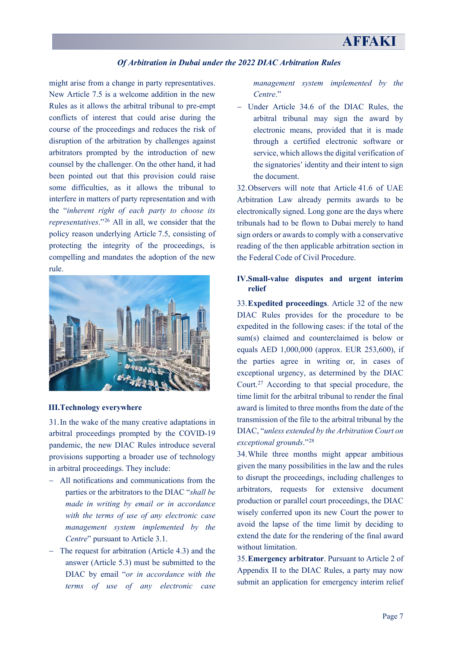might arise from a change in party representatives. New Article 7.5 is a welcome addition in the new Rules as it allows the arbitral tribunal to pre-empt conflicts of interest that could arise during the course of the proceedings and reduces the risk of disruption of the arbitration by challenges against arbitrators prompted by the introduction of new counsel by the challenger. On the other hand, it had been pointed out that this provision could raise some difficulties, as it allows the tribunal to interfere in matters of party representation and with the "*inherent right of each party to choose its representatives*."[26](#page-10-11) All in all, we consider that the policy reason underlying Article 7.5, consisting of protecting the integrity of the proceedings, is compelling and mandates the adoption of the new rule.



#### **III.Technology everywhere**

31.In the wake of the many creative adaptations in arbitral proceedings prompted by the COVID-19 pandemic, the new DIAC Rules introduce several provisions supporting a broader use of technology in arbitral proceedings. They include:

- − All notifications and communications from the parties or the arbitrators to the DIAC "*shall be made in writing by email or in accordance with the terms of use of any electronic case management system implemented by the Centre*" pursuant to Article 3.1.
- − The request for arbitration (Article 4.3) and the answer (Article 5.3) must be submitted to the DIAC by email "*or in accordance with the terms of use of any electronic case*

*management system implemented by the Centre*."

− Under Article 34.6 of the DIAC Rules, the arbitral tribunal may sign the award by electronic means, provided that it is made through a certified electronic software or service, which allows the digital verification of the signatories' identity and their intent to sign the document.

32.Observers will note that Article 41.6 of UAE Arbitration Law already permits awards to be electronically signed. Long gone are the days where tribunals had to be flown to Dubai merely to hand sign orders or awards to comply with a conservative reading of the then applicable arbitration section in the Federal Code of Civil Procedure.

# **IV.Small-value disputes and urgent interim relief**

33.**Expedited proceedings**. Article 32 of the new DIAC Rules provides for the procedure to be expedited in the following cases: if the total of the sum(s) claimed and counterclaimed is below or equals AED 1,000,000 (approx. EUR 253,600), if the parties agree in writing or, in cases of exceptional urgency, as determined by the DIAC Court.[27](#page-10-12) According to that special procedure, the time limit for the arbitral tribunal to render the final award is limited to three months from the date of the transmission of the file to the arbitral tribunal by the DIAC, "*unless extended by the Arbitration Court on exceptional grounds*."[28](#page-10-13)

34.While three months might appear ambitious given the many possibilities in the law and the rules to disrupt the proceedings, including challenges to arbitrators, requests for extensive document production or parallel court proceedings, the DIAC wisely conferred upon its new Court the power to avoid the lapse of the time limit by deciding to extend the date for the rendering of the final award without limitation.

35.**Emergency arbitrator**. Pursuant to Article 2 of Appendix II to the DIAC Rules, a party may now submit an application for emergency interim relief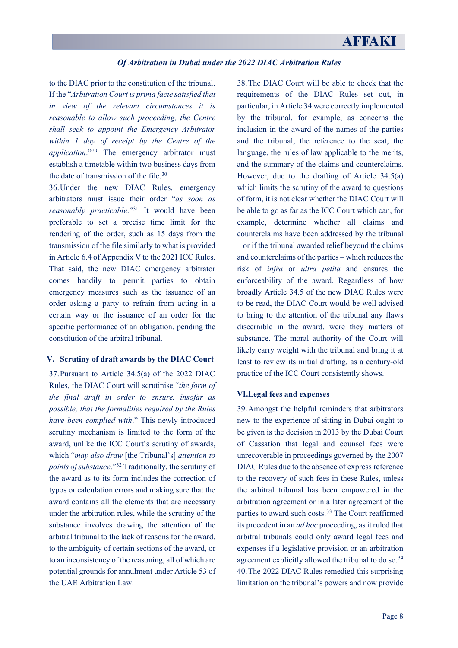to the DIAC prior to the constitution of the tribunal. If the "*Arbitration Court is prima facie satisfied that in view of the relevant circumstances it is reasonable to allow such proceeding, the Centre shall seek to appoint the Emergency Arbitrator within 1 day of receipt by the Centre of the application*."[29](#page-10-14) The emergency arbitrator must establish a timetable within two business days from the date of transmission of the file.[30](#page-10-15)

36.Under the new DIAC Rules, emergency arbitrators must issue their order "*as soon as reasonably practicable*."[31](#page-10-16) It would have been preferable to set a precise time limit for the rendering of the order, such as 15 days from the transmission of the file similarly to what is provided in Article 6.4 of Appendix V to the 2021 ICC Rules. That said, the new DIAC emergency arbitrator comes handily to permit parties to obtain emergency measures such as the issuance of an order asking a party to refrain from acting in a certain way or the issuance of an order for the specific performance of an obligation, pending the constitution of the arbitral tribunal.

### **V. Scrutiny of draft awards by the DIAC Court**

37.Pursuant to Article 34.5(a) of the 2022 DIAC Rules, the DIAC Court will scrutinise "*the form of the final draft in order to ensure, insofar as possible, that the formalities required by the Rules have been complied with*." This newly introduced scrutiny mechanism is limited to the form of the award, unlike the ICC Court's scrutiny of awards, which "*may also draw* [the Tribunal's] *attention to points of substance*."[32](#page-10-17) Traditionally, the scrutiny of the award as to its form includes the correction of typos or calculation errors and making sure that the award contains all the elements that are necessary under the arbitration rules, while the scrutiny of the substance involves drawing the attention of the arbitral tribunal to the lack of reasons for the award, to the ambiguity of certain sections of the award, or to an inconsistency of the reasoning, all of which are potential grounds for annulment under Article 53 of the UAE Arbitration Law.

38.The DIAC Court will be able to check that the requirements of the DIAC Rules set out, in particular, in Article 34 were correctly implemented by the tribunal, for example, as concerns the inclusion in the award of the names of the parties and the tribunal, the reference to the seat, the language, the rules of law applicable to the merits, and the summary of the claims and counterclaims. However, due to the drafting of Article 34.5(a) which limits the scrutiny of the award to questions of form, it is not clear whether the DIAC Court will be able to go as far as the ICC Court which can, for example, determine whether all claims and counterclaims have been addressed by the tribunal – or if the tribunal awarded relief beyond the claims and counterclaims of the parties – which reduces the risk of *infra* or *ultra petita* and ensures the enforceability of the award. Regardless of how broadly Article 34.5 of the new DIAC Rules were to be read, the DIAC Court would be well advised to bring to the attention of the tribunal any flaws discernible in the award, were they matters of substance. The moral authority of the Court will likely carry weight with the tribunal and bring it at least to review its initial drafting, as a century-old practice of the ICC Court consistently shows.

### **VI.Legal fees and expenses**

39.Amongst the helpful reminders that arbitrators new to the experience of sitting in Dubai ought to be given is the decision in 2013 by the Dubai Court of Cassation that legal and counsel fees were unrecoverable in proceedings governed by the 2007 DIAC Rules due to the absence of express reference to the recovery of such fees in these Rules, unless the arbitral tribunal has been empowered in the arbitration agreement or in a later agreement of the parties to award such costs. [33](#page-10-18) The Court reaffirmed its precedent in an *ad hoc* proceeding, as it ruled that arbitral tribunals could only award legal fees and expenses if a legislative provision or an arbitration agreement explicitly allowed the tribunal to do so.<sup>[34](#page-10-19)</sup> 40.The 2022 DIAC Rules remedied this surprising limitation on the tribunal's powers and now provide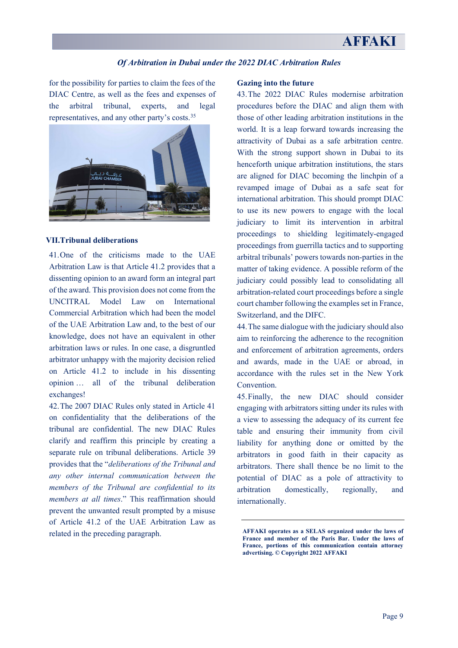# **AFFAKI**

# *Of Arbitration in Dubai under the 2022 DIAC Arbitration Rules*

for the possibility for parties to claim the fees of the DIAC Centre, as well as the fees and expenses of the arbitral tribunal, experts, and legal representatives, and any other party's costs.[35](#page-10-20)



#### **VII.Tribunal deliberations**

41.One of the criticisms made to the UAE Arbitration Law is that Article 41.2 provides that a dissenting opinion to an award form an integral part of the award. This provision does not come from the UNCITRAL Model Law on International Commercial Arbitration which had been the model of the UAE Arbitration Law and, to the best of our knowledge, does not have an equivalent in other arbitration laws or rules. In one case, a disgruntled arbitrator unhappy with the majority decision relied on Article 41.2 to include in his dissenting opinion … all of the tribunal deliberation exchanges!

42.The 2007 DIAC Rules only stated in Article 41 on confidentiality that the deliberations of the tribunal are confidential. The new DIAC Rules clarify and reaffirm this principle by creating a separate rule on tribunal deliberations. Article 39 provides that the "*deliberations of the Tribunal and any other internal communication between the members of the Tribunal are confidential to its members at all times*." This reaffirmation should prevent the unwanted result prompted by a misuse of Article 41.2 of the UAE Arbitration Law as related in the preceding paragraph.

#### **Gazing into the future**

43.The 2022 DIAC Rules modernise arbitration procedures before the DIAC and align them with those of other leading arbitration institutions in the world. It is a leap forward towards increasing the attractivity of Dubai as a safe arbitration centre. With the strong support shown in Dubai to its henceforth unique arbitration institutions, the stars are aligned for DIAC becoming the linchpin of a revamped image of Dubai as a safe seat for international arbitration. This should prompt DIAC to use its new powers to engage with the local judiciary to limit its intervention in arbitral proceedings to shielding legitimately-engaged proceedings from guerrilla tactics and to supporting arbitral tribunals' powers towards non-parties in the matter of taking evidence. A possible reform of the judiciary could possibly lead to consolidating all arbitration-related court proceedings before a single court chamber following the examples set in France, Switzerland, and the DIFC.

44.The same dialogue with the judiciary should also aim to reinforcing the adherence to the recognition and enforcement of arbitration agreements, orders and awards, made in the UAE or abroad, in accordance with the rules set in the New York Convention.

45.Finally, the new DIAC should consider engaging with arbitrators sitting under its rules with a view to assessing the adequacy of its current fee table and ensuring their immunity from civil liability for anything done or omitted by the arbitrators in good faith in their capacity as arbitrators. There shall thence be no limit to the potential of DIAC as a pole of attractivity to arbitration domestically, regionally, and internationally.

**AFFAKI operates as a SELAS organized under the laws of France and member of the Paris Bar. Under the laws of France, portions of this communication contain attorney advertising. © Copyright 2022 AFFAKI**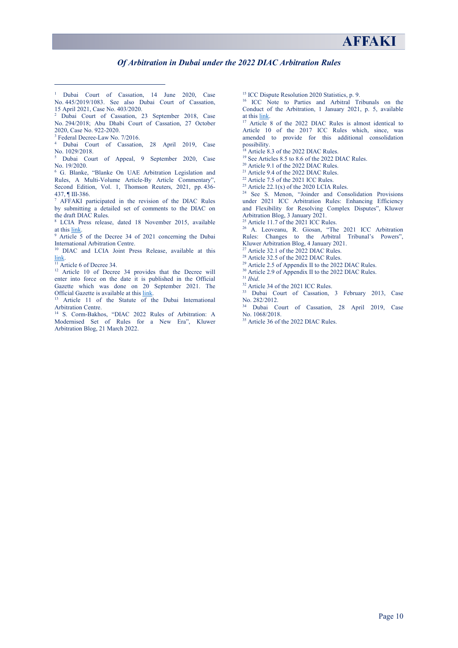- <span id="page-9-0"></span><sup>1</sup> Dubai Court of Cassation, 14 June 2020, Case No. 445/2019/1083. See also Dubai Court of Cassation, 15 April 2021, Case No. 403/2020.
- <span id="page-9-1"></span><sup>2</sup> Dubai Court of Cassation, 23 September 2018, Case No. 294/2018; Abu Dhabi Court of Cassation, 27 October 2020, Case No. 922-2020.
- <sup>3</sup> Federal Decree-Law No. 7/2016.

<span id="page-9-3"></span><span id="page-9-2"></span><sup>4</sup> Dubai Court of Cassation, 28 April 2019, Case No. 1029/2018.

<span id="page-9-4"></span><sup>5</sup> Dubai Court of Appeal, 9 September 2020, Case No. 19/2020.

<span id="page-9-5"></span><sup>6</sup> G. Blanke, "Blanke On UAE Arbitration Legislation and Rules, A Multi-Volume Article-By Article Commentary", Second Edition, Vol. 1, Thomson Reuters, 2021, pp. 436- 437, ¶ III-386.

7 AFFAKI participated in the revision of the DIAC Rules by submitting a detailed set of comments to the DIAC on the draft DIAC Rules.

<span id="page-9-6"></span><sup>8</sup> LCIA Press release, dated 18 November 2015, available

<span id="page-9-7"></span>at thi[s link.](https://www.lcia.org/News/difc-lcia-arbitration-centre-relaunched-today.aspx) 9 Article 5 of the Decree 34 of 2021 concerning the Dubai International Arbitration Centre.

<span id="page-9-8"></span><sup>10</sup> DIAC and LCIA Joint Press Release, available at this  $\frac{\text{link}}{^{11}}$  Article 6 of Decree 34.

<span id="page-9-10"></span><span id="page-9-9"></span><sup>12</sup> Article 10 of Decree 34 provides that the Decree will enter into force on the date it is published in the Official Gazette which was done on 20 September 2021. The Official Gazette is available at this link.

<span id="page-9-11"></span><sup>13</sup> Article 11 of the Statute of the Dubai International Arbitration Centre.

<span id="page-9-12"></span><sup>14</sup> S. Corm-Bakhos, "DIAC 2022 Rules of Arbitration: A Modernised Set of Rules for a New Era", Kluwer Arbitration Blog, 21 March 2022.

<sup>15</sup> ICC Dispute Resolution 2020 Statistics, p. 9.

<sup>16</sup> ICC Note to Parties and Arbitral Tribunals on the Conduct of the Arbitration, 1 January 2021, p. 5, available at thi[s link.](https://iccwbo.org/content/uploads/sites/3/2020/12/icc-note-to-parties-and-arbitral-tribunals-on-the-conduct-of-arbitration-english-2021.pdf)

<sup>17</sup> Article 8 of the 2022 DIAC Rules is almost identical to Article 10 of the 2017 ICC Rules which, since, was amended to provide for this additional consolidation possibility.

Article 8.3 of the 2022 DIAC Rules.

<sup>19</sup> See Articles 8.5 to 8.6 of the 2022 DIAC Rules.

<sup>20</sup> Article 9.1 of the 2022 DIAC Rules.

<sup>21</sup> Article 9.4 of the 2022 DIAC Rules.

<sup>22</sup> Article 7.5 of the 2021 ICC Rules.

<sup>23</sup> Article 22.1(x) of the 2020 LCIA Rules.

<sup>24</sup> See S. Menon, "Joinder and Consolidation Provisions under 2021 ICC Arbitration Rules: Enhancing Efficiency and Flexibility for Resolving Complex Disputes", Kluwer Arbitration Blog, 3 January 2021.

<sup>25</sup> Article 11.7 of the 2021 ICC Rules.

<sup>26</sup> A. Leoveanu, R. Giosan, "The 2021 ICC Arbitration Rules: Changes to the Arbitral Tribunal's Powers", Kluwer Arbitration Blog, 4 January 2021.

 $27$  Article 32.1 of the 2022 DIAC Rules.

<sup>28</sup> Article 32.5 of the 2022 DIAC Rules.

 $29$  Article 2.5 of Appendix II to the 2022 DIAC Rules.

<sup>30</sup> Article 2.9 of Appendix II to the 2022 DIAC Rules.<br><sup>31</sup> *Ibid.* 

<sup>32</sup> Article 34 of the 2021 ICC Rules.

<sup>33</sup> Dubai Court of Cassation, 3 February 2013, Case No. 282/2012.

Dubai Court of Cassation, 28 April 2019, Case No. 1068/2018.

<sup>35</sup> Article 36 of the 2022 DIAC Rules.